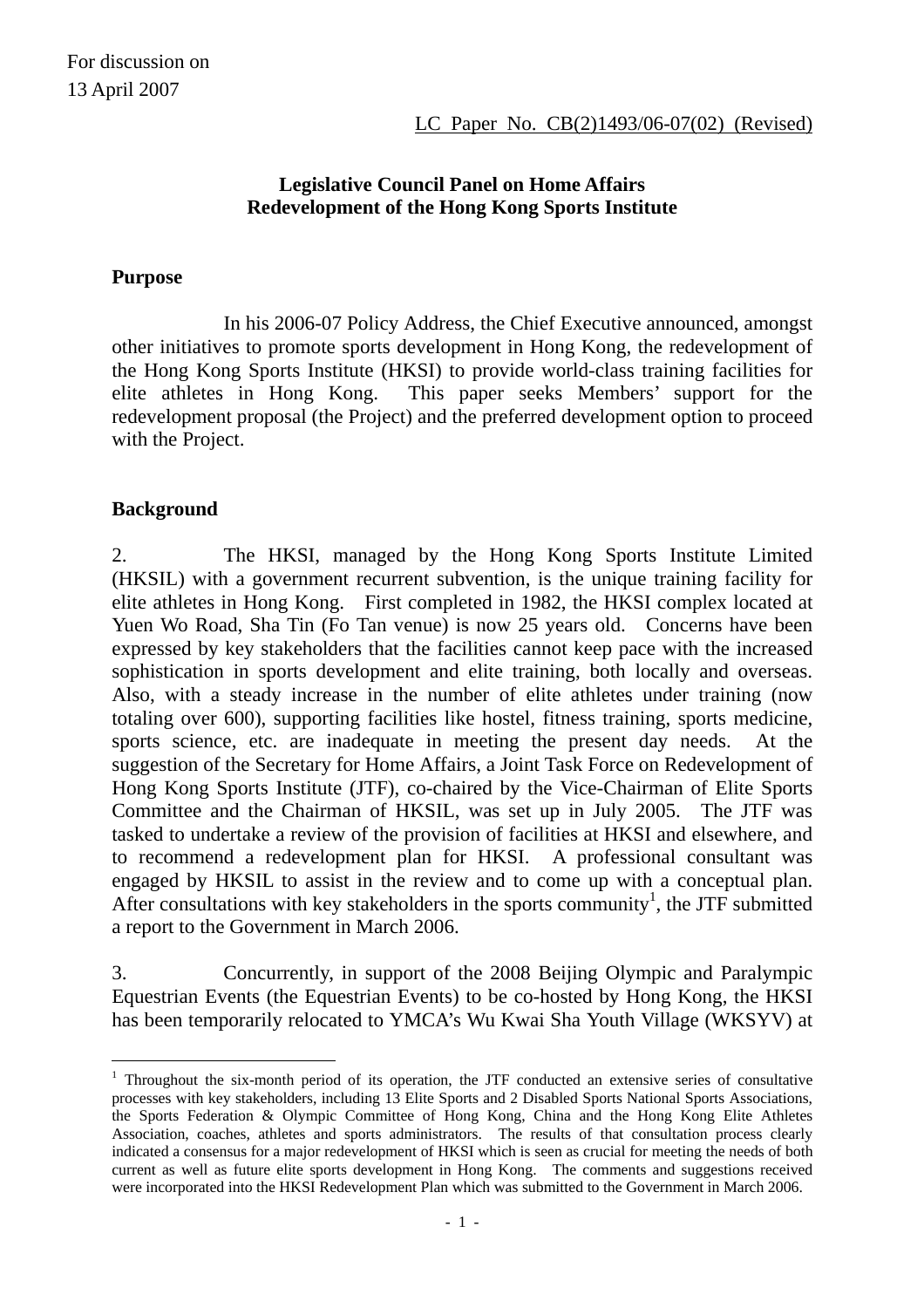## **Legislative Council Panel on Home Affairs Redevelopment of the Hong Kong Sports Institute**

#### **Purpose**

 In his 2006-07 Policy Address, the Chief Executive announced, amongst other initiatives to promote sports development in Hong Kong, the redevelopment of the Hong Kong Sports Institute (HKSI) to provide world-class training facilities for elite athletes in Hong Kong. This paper seeks Members' support for the redevelopment proposal (the Project) and the preferred development option to proceed with the Project.

#### **Background**

 $\overline{a}$ 

2. The HKSI, managed by the Hong Kong Sports Institute Limited (HKSIL) with a government recurrent subvention, is the unique training facility for elite athletes in Hong Kong. First completed in 1982, the HKSI complex located at Yuen Wo Road, Sha Tin (Fo Tan venue) is now 25 years old. Concerns have been expressed by key stakeholders that the facilities cannot keep pace with the increased sophistication in sports development and elite training, both locally and overseas. Also, with a steady increase in the number of elite athletes under training (now totaling over 600), supporting facilities like hostel, fitness training, sports medicine, sports science, etc. are inadequate in meeting the present day needs. At the suggestion of the Secretary for Home Affairs, a Joint Task Force on Redevelopment of Hong Kong Sports Institute (JTF), co-chaired by the Vice-Chairman of Elite Sports Committee and the Chairman of HKSIL, was set up in July 2005. The JTF was tasked to undertake a review of the provision of facilities at HKSI and elsewhere, and to recommend a redevelopment plan for HKSI. A professional consultant was engaged by HKSIL to assist in the review and to come up with a conceptual plan. After consultations with key stakeholders in the sports community<sup>1</sup>, the JTF submitted a report to the Government in March 2006.

3. Concurrently, in support of the 2008 Beijing Olympic and Paralympic Equestrian Events (the Equestrian Events) to be co-hosted by Hong Kong, the HKSI has been temporarily relocated to YMCA's Wu Kwai Sha Youth Village (WKSYV) at

<sup>&</sup>lt;sup>1</sup> Throughout the six-month period of its operation, the JTF conducted an extensive series of consultative processes with key stakeholders, including 13 Elite Sports and 2 Disabled Sports National Sports Associations, the Sports Federation & Olympic Committee of Hong Kong, China and the Hong Kong Elite Athletes Association, coaches, athletes and sports administrators. The results of that consultation process clearly indicated a consensus for a major redevelopment of HKSI which is seen as crucial for meeting the needs of both current as well as future elite sports development in Hong Kong. The comments and suggestions received were incorporated into the HKSI Redevelopment Plan which was submitted to the Government in March 2006.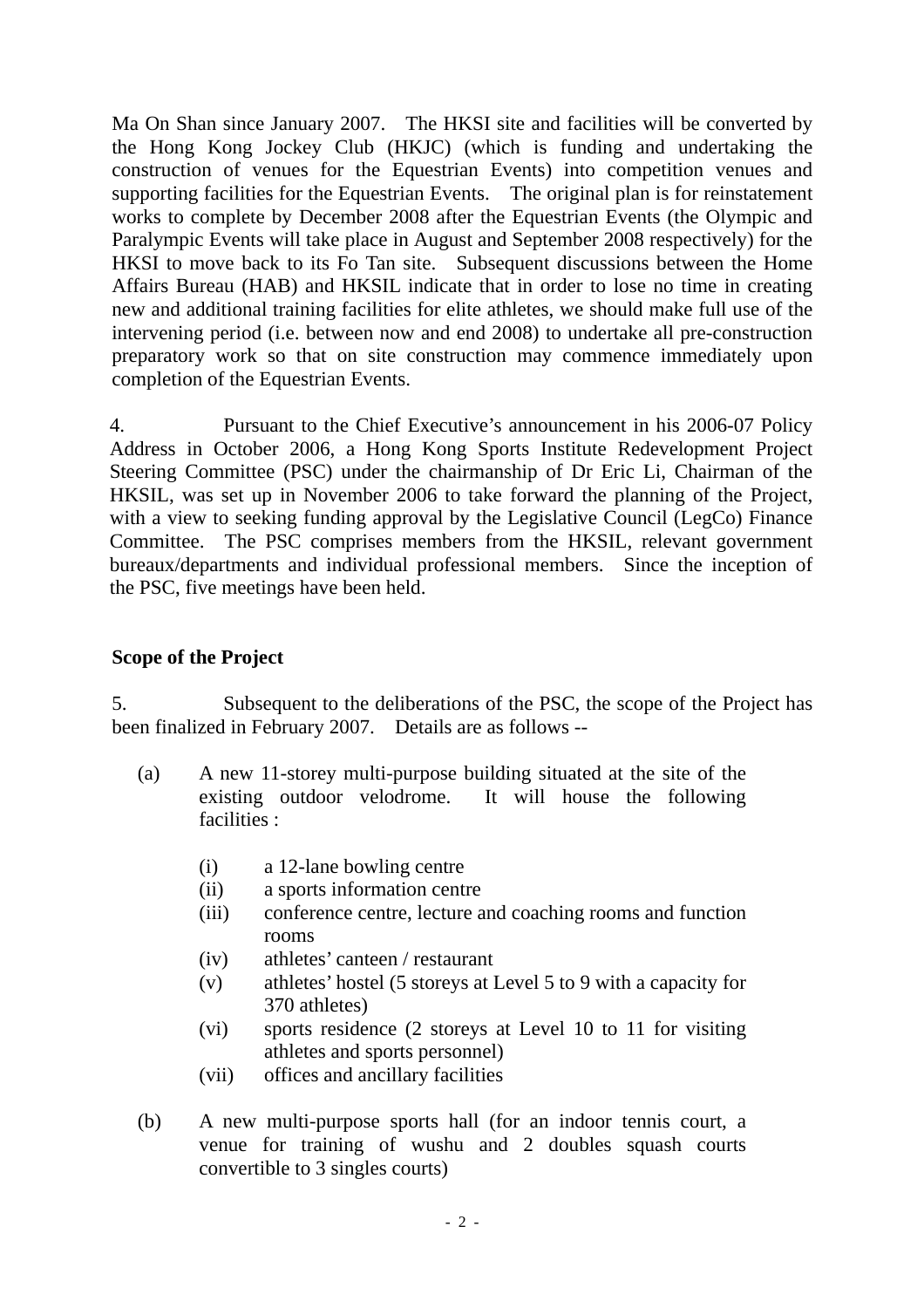Ma On Shan since January 2007. The HKSI site and facilities will be converted by the Hong Kong Jockey Club (HKJC) (which is funding and undertaking the construction of venues for the Equestrian Events) into competition venues and supporting facilities for the Equestrian Events. The original plan is for reinstatement works to complete by December 2008 after the Equestrian Events (the Olympic and Paralympic Events will take place in August and September 2008 respectively) for the HKSI to move back to its Fo Tan site. Subsequent discussions between the Home Affairs Bureau (HAB) and HKSIL indicate that in order to lose no time in creating new and additional training facilities for elite athletes, we should make full use of the intervening period (i.e. between now and end 2008) to undertake all pre-construction preparatory work so that on site construction may commence immediately upon completion of the Equestrian Events.

4. Pursuant to the Chief Executive's announcement in his 2006-07 Policy Address in October 2006, a Hong Kong Sports Institute Redevelopment Project Steering Committee (PSC) under the chairmanship of Dr Eric Li, Chairman of the HKSIL, was set up in November 2006 to take forward the planning of the Project, with a view to seeking funding approval by the Legislative Council (LegCo) Finance Committee. The PSC comprises members from the HKSIL, relevant government bureaux/departments and individual professional members. Since the inception of the PSC, five meetings have been held.

### **Scope of the Project**

5. Subsequent to the deliberations of the PSC, the scope of the Project has been finalized in February 2007. Details are as follows --

- (a) A new 11-storey multi-purpose building situated at the site of the existing outdoor velodrome. It will house the following facilities :
	- (i) a 12-lane bowling centre
	- (ii) a sports information centre
	- (iii) conference centre, lecture and coaching rooms and function rooms
	- $(iv)$ athletes' canteen / restaurant
	- (v) athletes' hostel (5 storeys at Level 5 to 9 with a capacity for 370 athletes)
	- (vi) sports residence (2 storeys at Level 10 to 11 for visiting athletes and sports personnel)
	- (vii) offices and ancillary facilities
- (b) A new multi-purpose sports hall (for an indoor tennis court, a venue for training of wushu and 2 doubles squash courts convertible to 3 singles courts)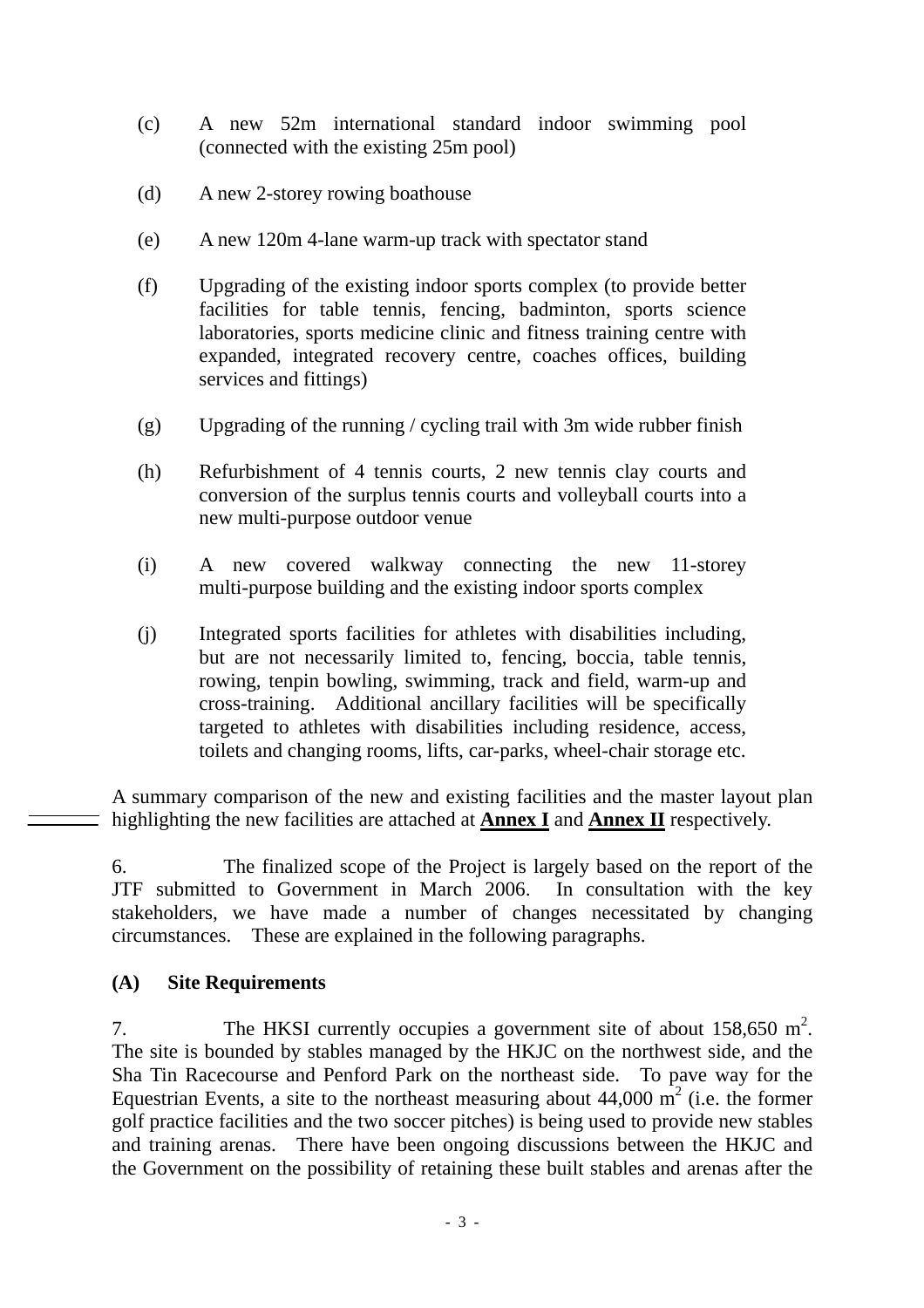- (c) A new 52m international standard indoor swimming pool (connected with the existing 25m pool)
- (d) A new 2-storey rowing boathouse
- (e) A new 120m 4-lane warm-up track with spectator stand
- (f) Upgrading of the existing indoor sports complex (to provide better facilities for table tennis, fencing, badminton, sports science laboratories, sports medicine clinic and fitness training centre with expanded, integrated recovery centre, coaches offices, building services and fittings)
- (g) Upgrading of the running / cycling trail with 3m wide rubber finish
- (h) Refurbishment of 4 tennis courts, 2 new tennis clay courts and conversion of the surplus tennis courts and volleyball courts into a new multi-purpose outdoor venue
- (i) A new covered walkway connecting the new 11-storey multi-purpose building and the existing indoor sports complex
- (j) Integrated sports facilities for athletes with disabilities including, but are not necessarily limited to, fencing, boccia, table tennis, rowing, tenpin bowling, swimming, track and field, warm-up and cross-training. Additional ancillary facilities will be specifically targeted to athletes with disabilities including residence, access, toilets and changing rooms, lifts, car-parks, wheel-chair storage etc.

A summary comparison of the new and existing facilities and the master layout plan highlighting the new facilities are attached at **Annex I** and **Annex II** respectively.

6. The finalized scope of the Project is largely based on the report of the JTF submitted to Government in March 2006. In consultation with the key stakeholders, we have made a number of changes necessitated by changing circumstances. These are explained in the following paragraphs.

### **(A) Site Requirements**

7. The HKSI currently occupies a government site of about  $158,650 \text{ m}^2$ . The site is bounded by stables managed by the HKJC on the northwest side, and the Sha Tin Racecourse and Penford Park on the northeast side. To pave way for the Equestrian Events, a site to the northeast measuring about  $44,000 \text{ m}^2$  (i.e. the former golf practice facilities and the two soccer pitches) is being used to provide new stables and training arenas. There have been ongoing discussions between the HKJC and the Government on the possibility of retaining these built stables and arenas after the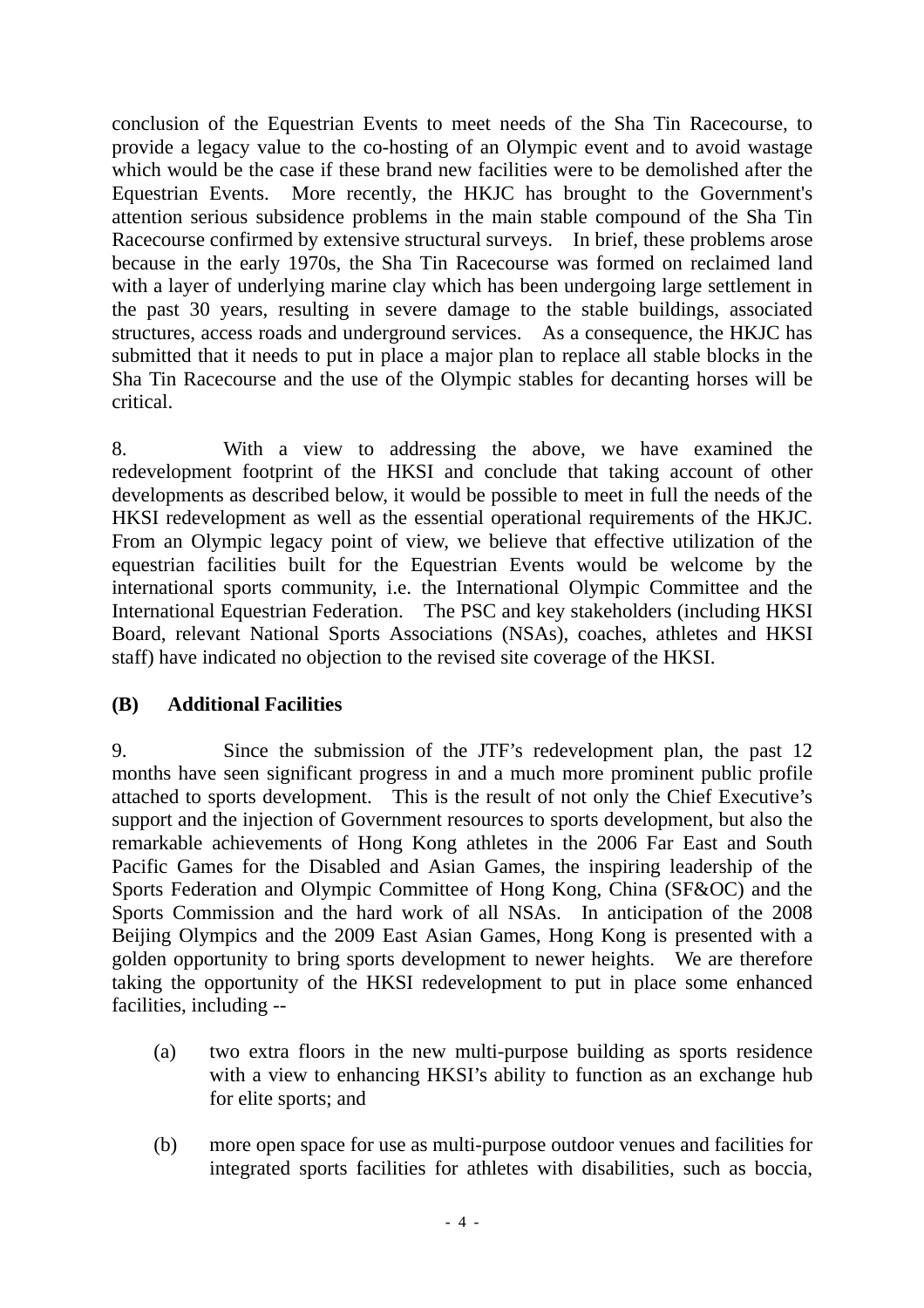conclusion of the Equestrian Events to meet needs of the Sha Tin Racecourse, to provide a legacy value to the co-hosting of an Olympic event and to avoid wastage which would be the case if these brand new facilities were to be demolished after the Equestrian Events. More recently, the HKJC has brought to the Government's attention serious subsidence problems in the main stable compound of the Sha Tin Racecourse confirmed by extensive structural surveys. In brief, these problems arose because in the early 1970s, the Sha Tin Racecourse was formed on reclaimed land with a layer of underlying marine clay which has been undergoing large settlement in the past 30 years, resulting in severe damage to the stable buildings, associated structures, access roads and underground services.As a consequence, the HKJC has submitted that it needs to put in place a major plan to replace all stable blocks in the Sha Tin Racecourse and the use of the Olympic stables for decanting horses will be critical.

8. With a view to addressing the above, we have examined the redevelopment footprint of the HKSI and conclude that taking account of other developments as described below, it would be possible to meet in full the needs of the HKSI redevelopment as well as the essential operational requirements of the HKJC. From an Olympic legacy point of view, we believe that effective utilization of the equestrian facilities built for the Equestrian Events would be welcome by the international sports community, i.e. the International Olympic Committee and the International Equestrian Federation. The PSC and key stakeholders (including HKSI Board, relevant National Sports Associations (NSAs), coaches, athletes and HKSI staff) have indicated no objection to the revised site coverage of the HKSI.

### **(B) Additional Facilities**

9. Since the submission of the JTF's redevelopment plan, the past 12 months have seen significant progress in and a much more prominent public profile attached to sports development. This is the result of not only the Chief Executive's support and the injection of Government resources to sports development, but also the remarkable achievements of Hong Kong athletes in the 2006 Far East and South Pacific Games for the Disabled and Asian Games, the inspiring leadership of the Sports Federation and Olympic Committee of Hong Kong, China (SF&OC) and the Sports Commission and the hard work of all NSAs. In anticipation of the 2008 Beijing Olympics and the 2009 East Asian Games, Hong Kong is presented with a golden opportunity to bring sports development to newer heights. We are therefore taking the opportunity of the HKSI redevelopment to put in place some enhanced facilities, including --

- (a) two extra floors in the new multi-purpose building as sports residence with a view to enhancing HKSI's ability to function as an exchange hub for elite sports; and
- (b) more open space for use as multi-purpose outdoor venues and facilities for integrated sports facilities for athletes with disabilities, such as boccia,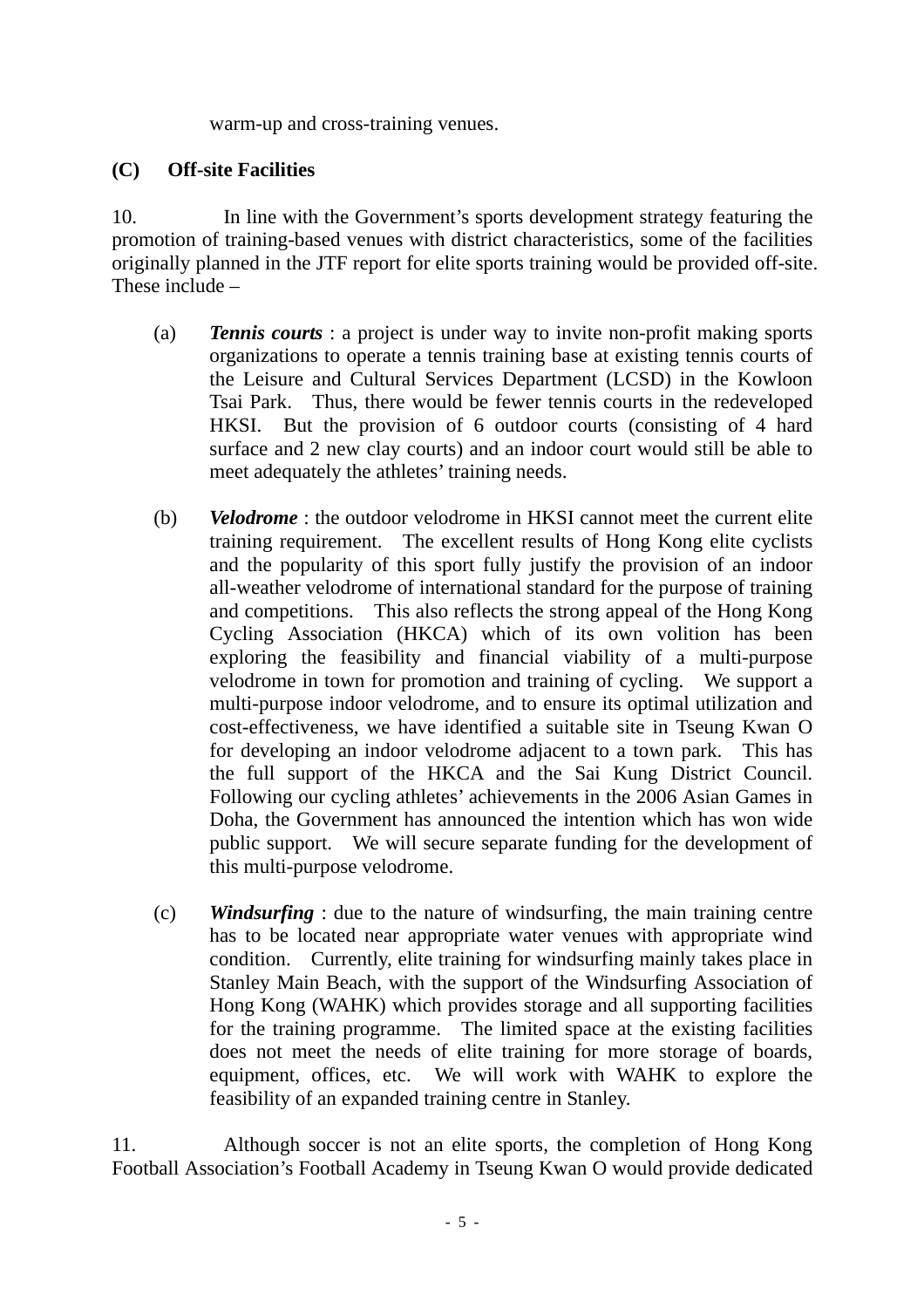warm-up and cross-training venues.

## **(C) Off-site Facilities**

10. In line with the Government's sports development strategy featuring the promotion of training-based venues with district characteristics, some of the facilities originally planned in the JTF report for elite sports training would be provided off-site. These include –

- (a) *Tennis courts* : a project is under way to invite non-profit making sports organizations to operate a tennis training base at existing tennis courts of the Leisure and Cultural Services Department (LCSD) in the Kowloon Tsai Park. Thus, there would be fewer tennis courts in the redeveloped HKSI. But the provision of 6 outdoor courts (consisting of 4 hard surface and 2 new clay courts) and an indoor court would still be able to meet adequately the athletes' training needs.
- (b) *Velodrome* : the outdoor velodrome in HKSI cannot meet the current elite training requirement. The excellent results of Hong Kong elite cyclists and the popularity of this sport fully justify the provision of an indoor all-weather velodrome of international standard for the purpose of training and competitions. This also reflects the strong appeal of the Hong Kong Cycling Association (HKCA) which of its own volition has been exploring the feasibility and financial viability of a multi-purpose velodrome in town for promotion and training of cycling. We support a multi-purpose indoor velodrome, and to ensure its optimal utilization and cost-effectiveness, we have identified a suitable site in Tseung Kwan O for developing an indoor velodrome adjacent to a town park. This has the full support of the HKCA and the Sai Kung District Council. Following our cycling athletes' achievements in the 2006 Asian Games in Doha, the Government has announced the intention which has won wide public support. We will secure separate funding for the development of this multi-purpose velodrome.
- (c) *Windsurfing* : due to the nature of windsurfing, the main training centre has to be located near appropriate water venues with appropriate wind condition. Currently, elite training for windsurfing mainly takes place in Stanley Main Beach, with the support of the Windsurfing Association of Hong Kong (WAHK) which provides storage and all supporting facilities for the training programme. The limited space at the existing facilities does not meet the needs of elite training for more storage of boards, equipment, offices, etc. We will work with WAHK to explore the feasibility of an expanded training centre in Stanley.

11. Although soccer is not an elite sports, the completion of Hong Kong Football Association's Football Academy in Tseung Kwan O would provide dedicated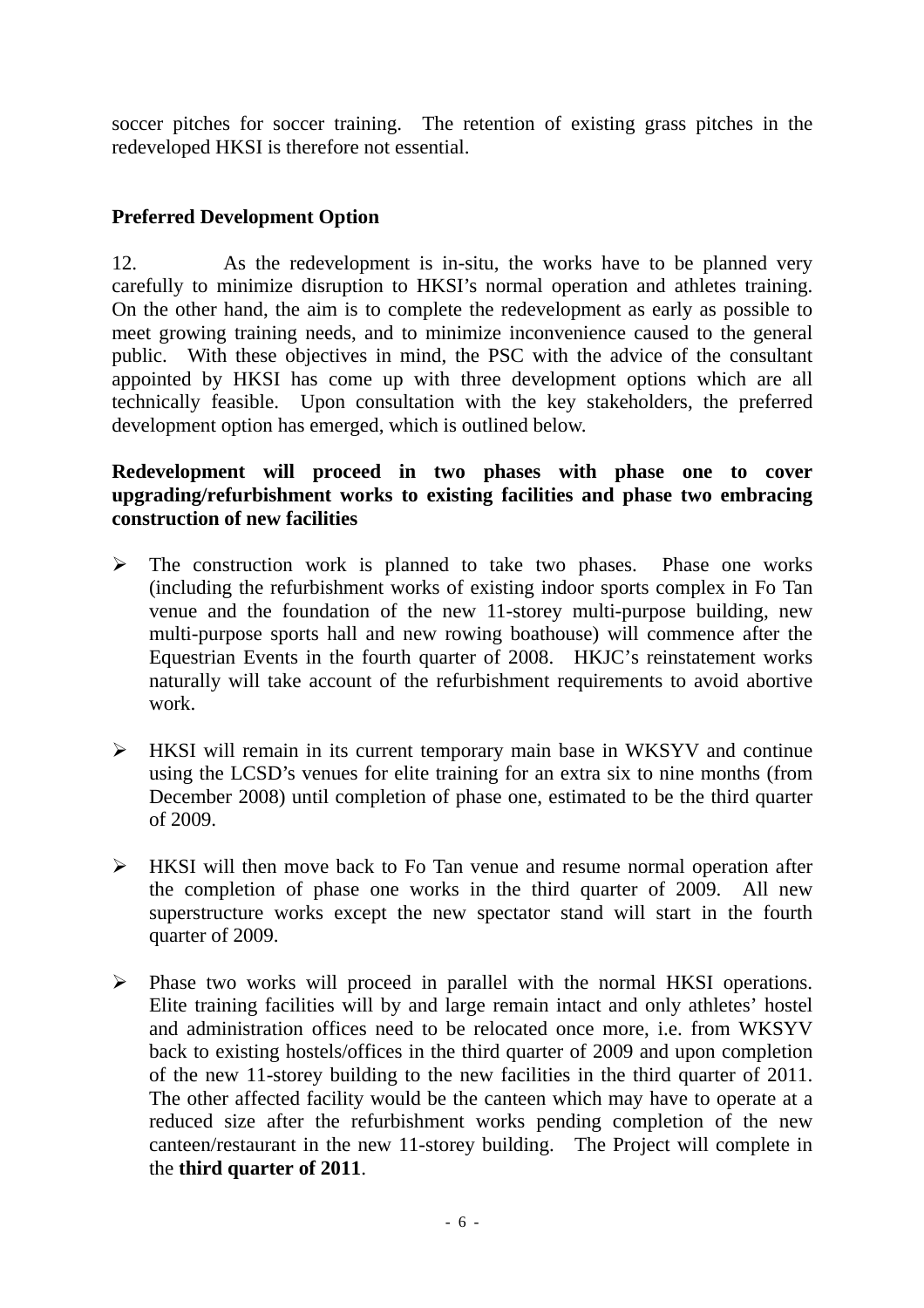soccer pitches for soccer training. The retention of existing grass pitches in the redeveloped HKSI is therefore not essential.

## **Preferred Development Option**

12. As the redevelopment is in-situ, the works have to be planned very carefully to minimize disruption to HKSI's normal operation and athletes training. On the other hand, the aim is to complete the redevelopment as early as possible to meet growing training needs, and to minimize inconvenience caused to the general public. With these objectives in mind, the PSC with the advice of the consultant appointed by HKSI has come up with three development options which are all technically feasible. Upon consultation with the key stakeholders, the preferred development option has emerged, which is outlined below.

### **Redevelopment will proceed in two phases with phase one to cover upgrading/refurbishment works to existing facilities and phase two embracing construction of new facilities**

- $\triangleright$  The construction work is planned to take two phases. Phase one works (including the refurbishment works of existing indoor sports complex in Fo Tan venue and the foundation of the new 11-storey multi-purpose building, new multi-purpose sports hall and new rowing boathouse) will commence after the Equestrian Events in the fourth quarter of 2008. HKJC's reinstatement works naturally will take account of the refurbishment requirements to avoid abortive work.
- ¾ HKSI will remain in its current temporary main base in WKSYV and continue using the LCSD's venues for elite training for an extra six to nine months (from December 2008) until completion of phase one, estimated to be the third quarter of 2009.
- $\triangleright$  HKSI will then move back to Fo Tan venue and resume normal operation after the completion of phase one works in the third quarter of 2009. All new superstructure works except the new spectator stand will start in the fourth quarter of 2009.
- ¾ Phase two works will proceed in parallel with the normal HKSI operations. Elite training facilities will by and large remain intact and only athletes' hostel and administration offices need to be relocated once more, i.e. from WKSYV back to existing hostels/offices in the third quarter of 2009 and upon completion of the new 11-storey building to the new facilities in the third quarter of 2011. The other affected facility would be the canteen which may have to operate at a reduced size after the refurbishment works pending completion of the new canteen/restaurant in the new 11-storey building. The Project will complete in the **third quarter of 2011**.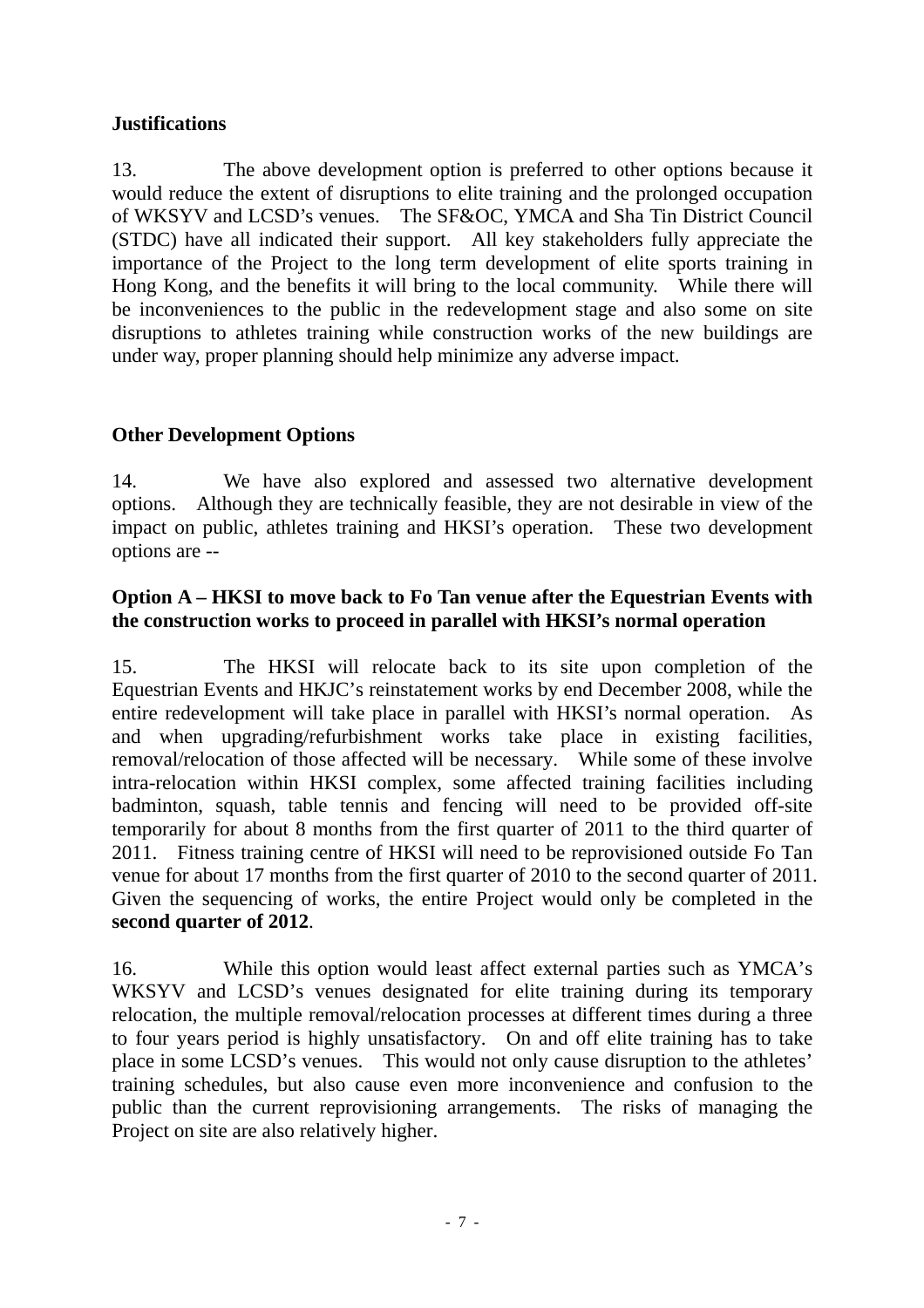## **Justifications**

13. The above development option is preferred to other options because it would reduce the extent of disruptions to elite training and the prolonged occupation of WKSYV and LCSD's venues. The SF&OC, YMCA and Sha Tin District Council (STDC) have all indicated their support. All key stakeholders fully appreciate the importance of the Project to the long term development of elite sports training in Hong Kong, and the benefits it will bring to the local community. While there will be inconveniences to the public in the redevelopment stage and also some on site disruptions to athletes training while construction works of the new buildings are under way, proper planning should help minimize any adverse impact.

## **Other Development Options**

14. We have also explored and assessed two alternative development options. Although they are technically feasible, they are not desirable in view of the impact on public, athletes training and HKSI's operation. These two development options are --

#### **Option A – HKSI to move back to Fo Tan venue after the Equestrian Events with the construction works to proceed in parallel with HKSI's normal operation**

15. The HKSI will relocate back to its site upon completion of the Equestrian Events and HKJC's reinstatement works by end December 2008, while the entire redevelopment will take place in parallel with HKSI's normal operation. As and when upgrading/refurbishment works take place in existing facilities, removal/relocation of those affected will be necessary. While some of these involve intra-relocation within HKSI complex, some affected training facilities including badminton, squash, table tennis and fencing will need to be provided off-site temporarily for about 8 months from the first quarter of 2011 to the third quarter of 2011. Fitness training centre of HKSI will need to be reprovisioned outside Fo Tan venue for about 17 months from the first quarter of 2010 to the second quarter of 2011. Given the sequencing of works, the entire Project would only be completed in the **second quarter of 2012**.

16. While this option would least affect external parties such as YMCA's WKSYV and LCSD's venues designated for elite training during its temporary relocation, the multiple removal/relocation processes at different times during a three to four years period is highly unsatisfactory. On and off elite training has to take place in some LCSD's venues. This would not only cause disruption to the athletes' training schedules, but also cause even more inconvenience and confusion to the public than the current reprovisioning arrangements. The risks of managing the Project on site are also relatively higher.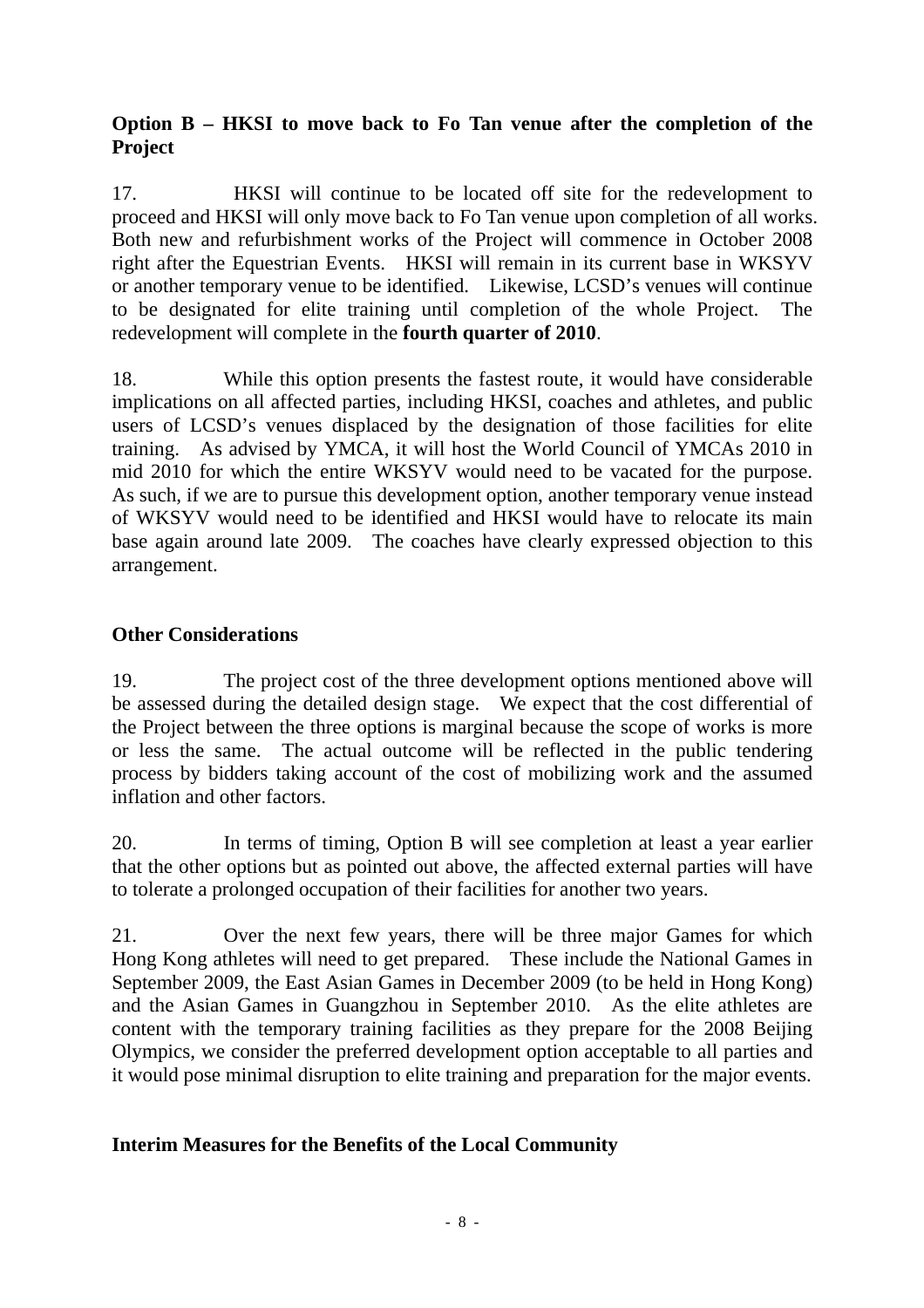## **Option B – HKSI to move back to Fo Tan venue after the completion of the Project**

17. HKSI will continue to be located off site for the redevelopment to proceed and HKSI will only move back to Fo Tan venue upon completion of all works. Both new and refurbishment works of the Project will commence in October 2008 right after the Equestrian Events. HKSI will remain in its current base in WKSYV or another temporary venue to be identified. Likewise, LCSD's venues will continue to be designated for elite training until completion of the whole Project. The redevelopment will complete in the **fourth quarter of 2010**.

18. While this option presents the fastest route, it would have considerable implications on all affected parties, including HKSI, coaches and athletes, and public users of LCSD's venues displaced by the designation of those facilities for elite training. As advised by YMCA, it will host the World Council of YMCAs 2010 in mid 2010 for which the entire WKSYV would need to be vacated for the purpose. As such, if we are to pursue this development option, another temporary venue instead of WKSYV would need to be identified and HKSI would have to relocate its main base again around late 2009. The coaches have clearly expressed objection to this arrangement.

## **Other Considerations**

19. The project cost of the three development options mentioned above will be assessed during the detailed design stage. We expect that the cost differential of the Project between the three options is marginal because the scope of works is more or less the same. The actual outcome will be reflected in the public tendering process by bidders taking account of the cost of mobilizing work and the assumed inflation and other factors.

20. In terms of timing, Option B will see completion at least a year earlier that the other options but as pointed out above, the affected external parties will have to tolerate a prolonged occupation of their facilities for another two years.

21. Over the next few years, there will be three major Games for which Hong Kong athletes will need to get prepared. These include the National Games in September 2009, the East Asian Games in December 2009 (to be held in Hong Kong) and the Asian Games in Guangzhou in September 2010. As the elite athletes are content with the temporary training facilities as they prepare for the 2008 Beijing Olympics, we consider the preferred development option acceptable to all parties and it would pose minimal disruption to elite training and preparation for the major events.

## **Interim Measures for the Benefits of the Local Community**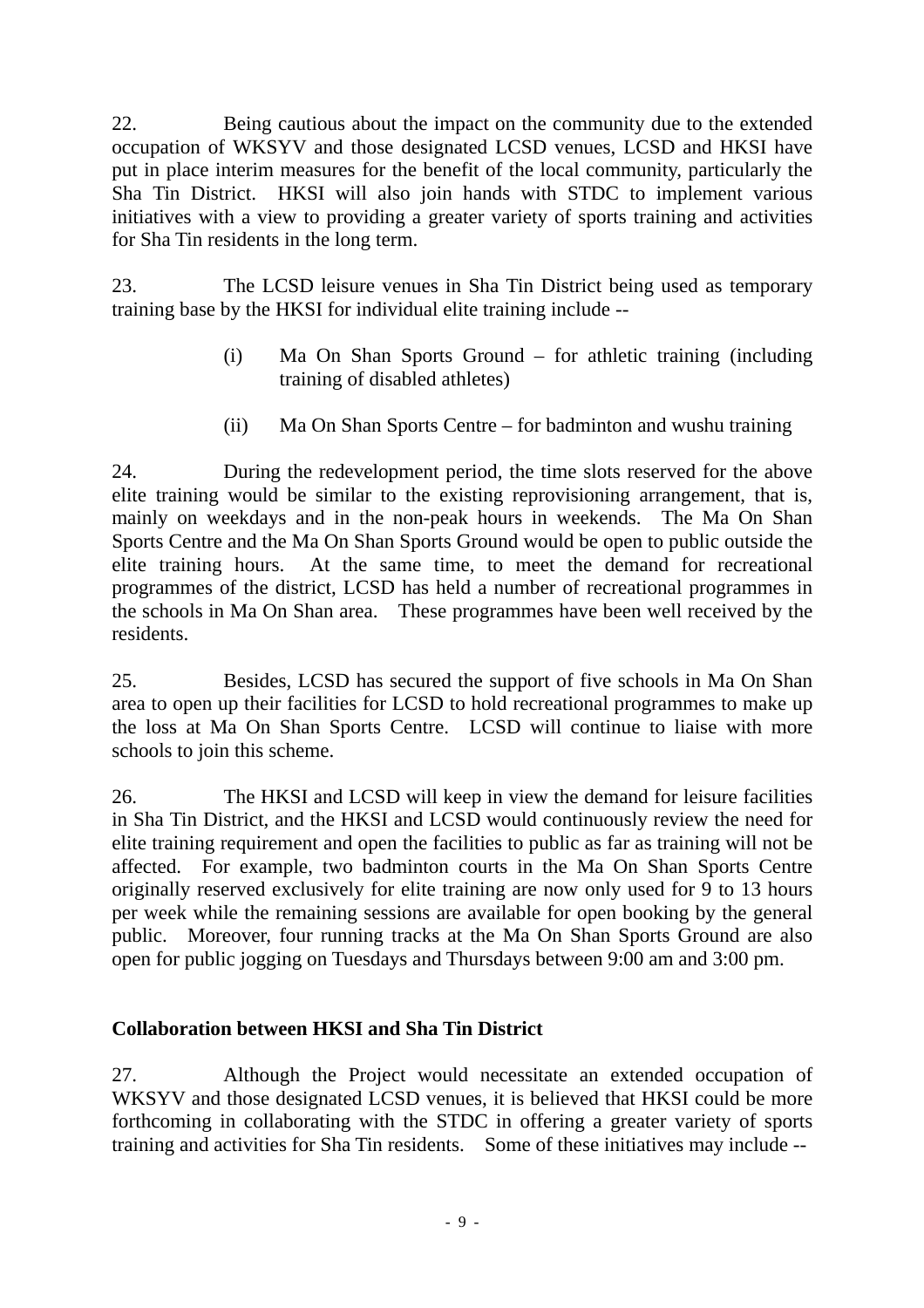22. Being cautious about the impact on the community due to the extended occupation of WKSYV and those designated LCSD venues, LCSD and HKSI have put in place interim measures for the benefit of the local community, particularly the Sha Tin District. HKSI will also join hands with STDC to implement various initiatives with a view to providing a greater variety of sports training and activities for Sha Tin residents in the long term.

23. The LCSD leisure venues in Sha Tin District being used as temporary training base by the HKSI for individual elite training include --

- (i) Ma On Shan Sports Ground for athletic training (including training of disabled athletes)
- (ii) Ma On Shan Sports Centre for badminton and wushu training

24. During the redevelopment period, the time slots reserved for the above elite training would be similar to the existing reprovisioning arrangement, that is, mainly on weekdays and in the non-peak hours in weekends. The Ma On Shan Sports Centre and the Ma On Shan Sports Ground would be open to public outside the elite training hours. At the same time, to meet the demand for recreational programmes of the district, LCSD has held a number of recreational programmes in the schools in Ma On Shan area. These programmes have been well received by the residents.

25. Besides, LCSD has secured the support of five schools in Ma On Shan area to open up their facilities for LCSD to hold recreational programmes to make up the loss at Ma On Shan Sports Centre. LCSD will continue to liaise with more schools to join this scheme.

26. The HKSI and LCSD will keep in view the demand for leisure facilities in Sha Tin District, and the HKSI and LCSD would continuously review the need for elite training requirement and open the facilities to public as far as training will not be affected. For example, two badminton courts in the Ma On Shan Sports Centre originally reserved exclusively for elite training are now only used for 9 to 13 hours per week while the remaining sessions are available for open booking by the general public. Moreover, four running tracks at the Ma On Shan Sports Ground are also open for public jogging on Tuesdays and Thursdays between 9:00 am and 3:00 pm.

## **Collaboration between HKSI and Sha Tin District**

27. Although the Project would necessitate an extended occupation of WKSYV and those designated LCSD venues, it is believed that HKSI could be more forthcoming in collaborating with the STDC in offering a greater variety of sports training and activities for Sha Tin residents. Some of these initiatives may include --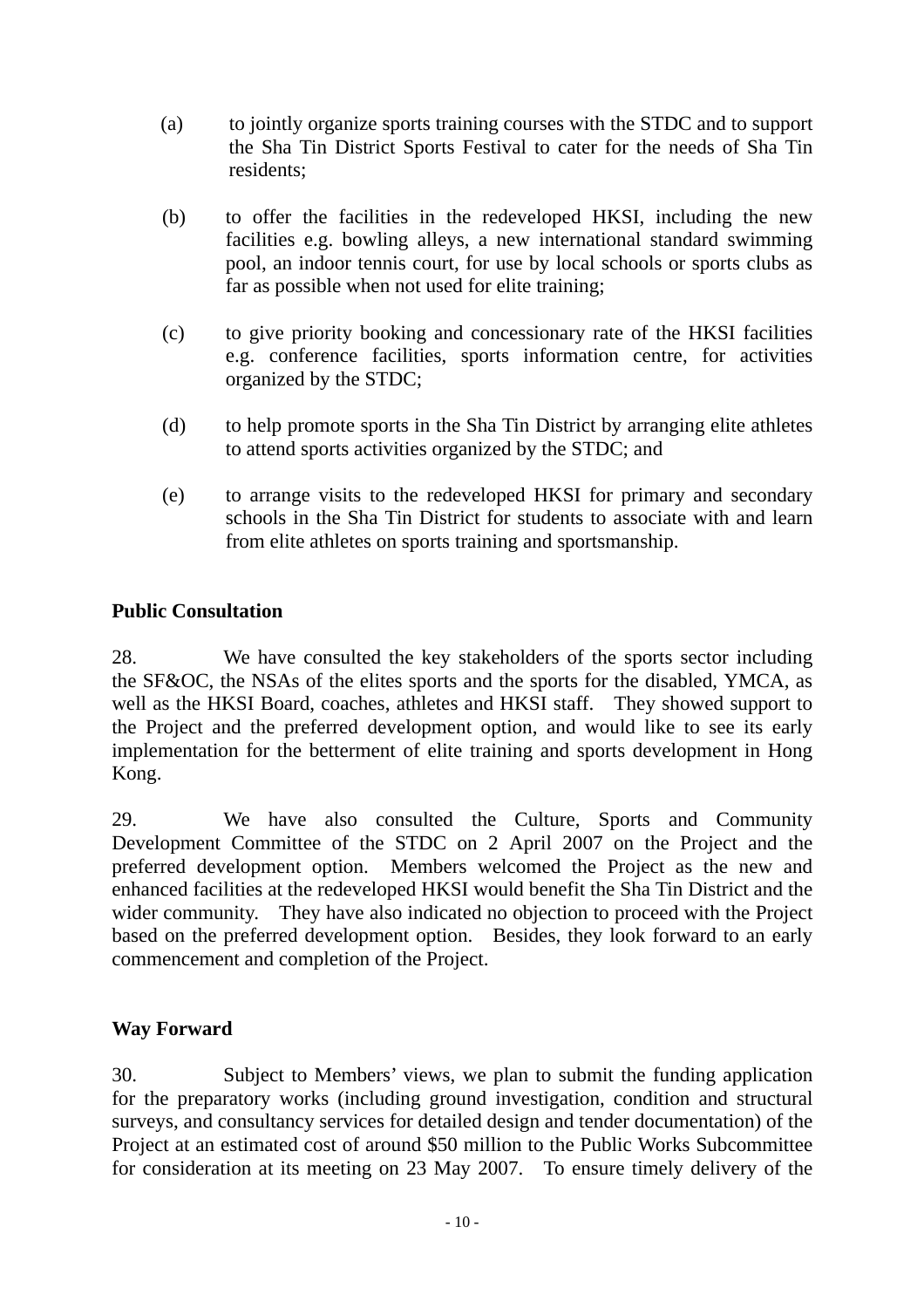- (a) to jointly organize sports training courses with the STDC and to support the Sha Tin District Sports Festival to cater for the needs of Sha Tin residents;
- (b) to offer the facilities in the redeveloped HKSI, including the new facilities e.g. bowling alleys, a new international standard swimming pool, an indoor tennis court, for use by local schools or sports clubs as far as possible when not used for elite training;
- (c) to give priority booking and concessionary rate of the HKSI facilities e.g. conference facilities, sports information centre, for activities organized by the STDC;
- (d) to help promote sports in the Sha Tin District by arranging elite athletes to attend sports activities organized by the STDC; and
- (e) to arrange visits to the redeveloped HKSI for primary and secondary schools in the Sha Tin District for students to associate with and learn from elite athletes on sports training and sportsmanship.

## **Public Consultation**

28. We have consulted the key stakeholders of the sports sector including the SF&OC, the NSAs of the elites sports and the sports for the disabled, YMCA, as well as the HKSI Board, coaches, athletes and HKSI staff. They showed support to the Project and the preferred development option, and would like to see its early implementation for the betterment of elite training and sports development in Hong Kong.

29. We have also consulted the Culture, Sports and Community Development Committee of the STDC on 2 April 2007 on the Project and the preferred development option. Members welcomed the Project as the new and enhanced facilities at the redeveloped HKSI would benefit the Sha Tin District and the wider community. They have also indicated no objection to proceed with the Project based on the preferred development option. Besides, they look forward to an early commencement and completion of the Project.

## **Way Forward**

30. Subject to Members' views, we plan to submit the funding application for the preparatory works (including ground investigation, condition and structural surveys, and consultancy services for detailed design and tender documentation) of the Project at an estimated cost of around \$50 million to the Public Works Subcommittee for consideration at its meeting on 23 May 2007. To ensure timely delivery of the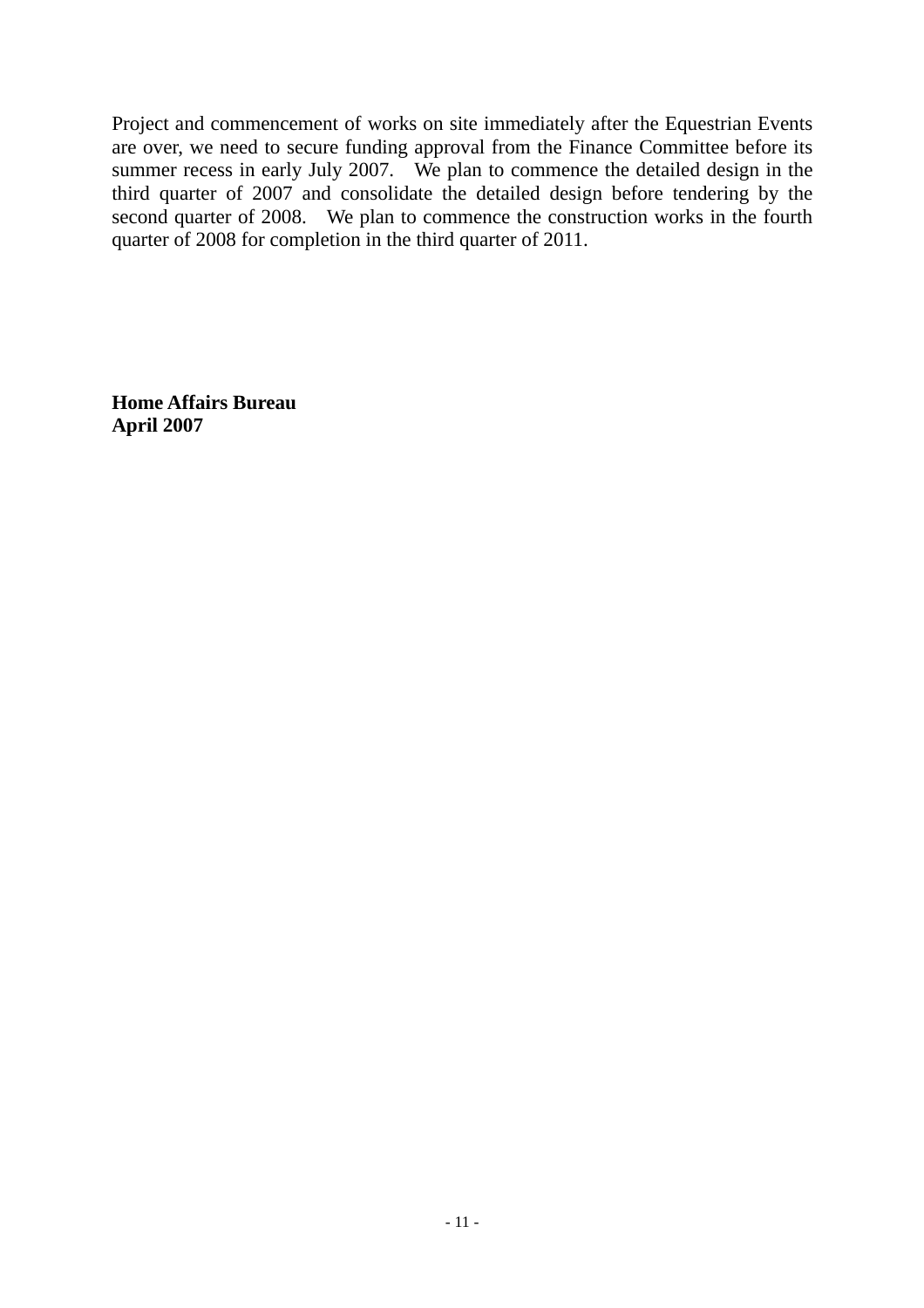Project and commencement of works on site immediately after the Equestrian Events are over, we need to secure funding approval from the Finance Committee before its summer recess in early July 2007. We plan to commence the detailed design in the third quarter of 2007 and consolidate the detailed design before tendering by the second quarter of 2008. We plan to commence the construction works in the fourth quarter of 2008 for completion in the third quarter of 2011.

**Home Affairs Bureau April 2007**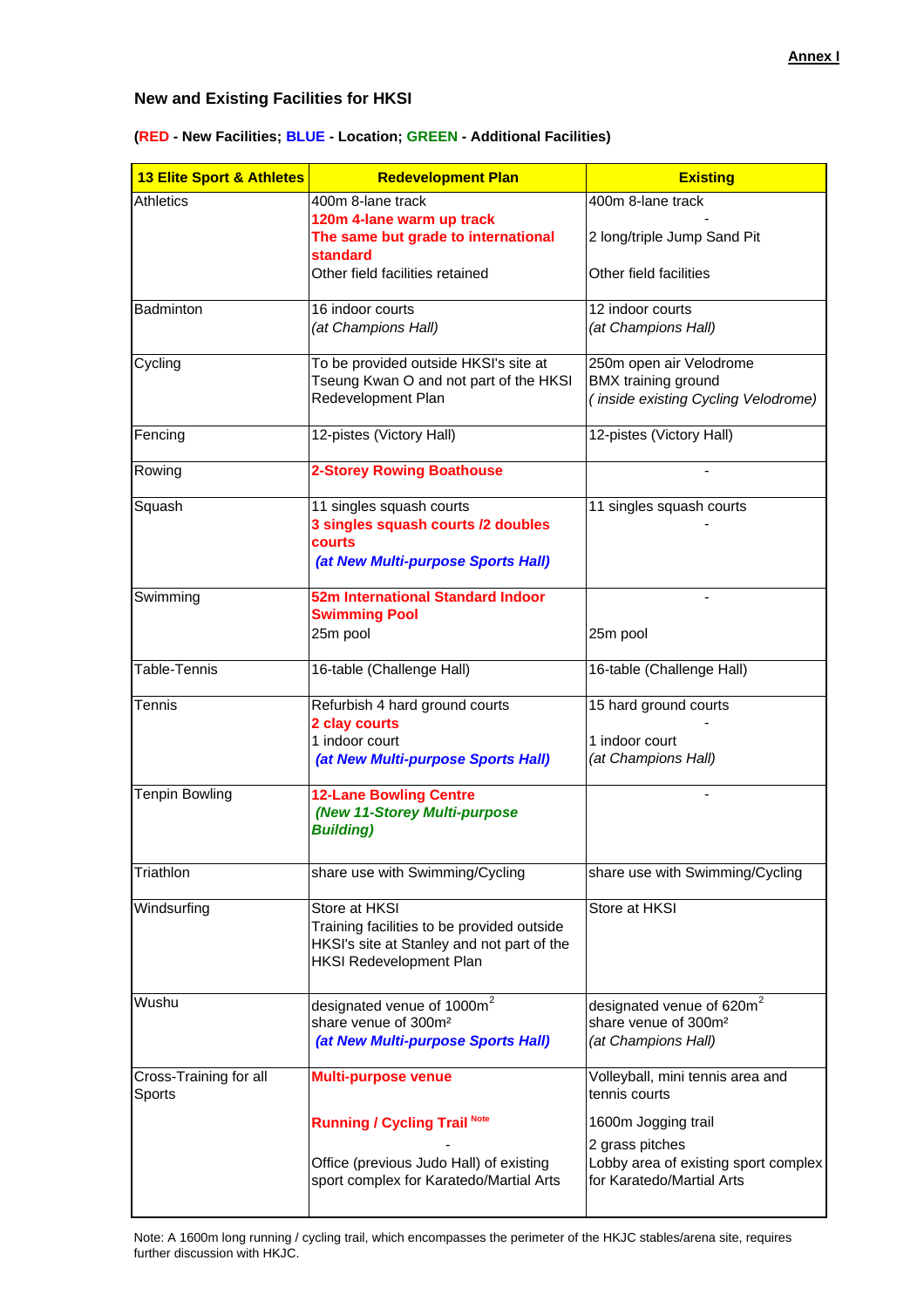#### **New and Existing Facilities for HKSI**

| <b>13 Elite Sport &amp; Athletes</b> | <b>Redevelopment Plan</b>                                                                                                                   | <b>Existing</b>                                                                                  |
|--------------------------------------|---------------------------------------------------------------------------------------------------------------------------------------------|--------------------------------------------------------------------------------------------------|
| <b>Athletics</b>                     | 400m 8-lane track<br>120m 4-lane warm up track                                                                                              | 400m 8-lane track                                                                                |
|                                      | The same but grade to international<br><b>standard</b><br>Other field facilities retained                                                   | 2 long/triple Jump Sand Pit<br>Other field facilities                                            |
|                                      |                                                                                                                                             |                                                                                                  |
| Badminton                            | 16 indoor courts<br>(at Champions Hall)                                                                                                     | 12 indoor courts<br>(at Champions Hall)                                                          |
| Cycling                              | To be provided outside HKSI's site at<br>Tseung Kwan O and not part of the HKSI<br>Redevelopment Plan                                       | 250m open air Velodrome<br>BMX training ground<br>(inside existing Cycling Velodrome)            |
| Fencing                              | 12-pistes (Victory Hall)                                                                                                                    | 12-pistes (Victory Hall)                                                                         |
| Rowing                               | <b>2-Storey Rowing Boathouse</b>                                                                                                            |                                                                                                  |
| Squash                               | 11 singles squash courts<br>3 singles squash courts /2 doubles<br>courts<br>(at New Multi-purpose Sports Hall)                              | 11 singles squash courts                                                                         |
| Swimming                             | 52m International Standard Indoor<br><b>Swimming Pool</b><br>25m pool                                                                       | 25m pool                                                                                         |
| Table-Tennis                         | 16-table (Challenge Hall)                                                                                                                   | 16-table (Challenge Hall)                                                                        |
| Tennis                               | Refurbish 4 hard ground courts<br>2 clay courts<br>1 indoor court<br>(at New Multi-purpose Sports Hall)                                     | 15 hard ground courts<br>1 indoor court<br>(at Champions Hall)                                   |
| <b>Tenpin Bowling</b>                | <b>12-Lane Bowling Centre</b><br>(New 11-Storey Multi-purpose<br><b>Building)</b>                                                           |                                                                                                  |
| Triathlon                            | share use with Swimming/Cycling                                                                                                             | share use with Swimming/Cycling                                                                  |
| Windsurfing                          | Store at HKSI<br>Training facilities to be provided outside<br>HKSI's site at Stanley and not part of the<br><b>HKSI Redevelopment Plan</b> | Store at HKSI                                                                                    |
| Wushu                                | designated venue of 1000m <sup>2</sup><br>share venue of 300m <sup>2</sup><br>(at New Multi-purpose Sports Hall)                            | designated venue of 620m <sup>2</sup><br>share venue of 300m <sup>2</sup><br>(at Champions Hall) |
| Cross-Training for all<br>Sports     | <b>Multi-purpose venue</b>                                                                                                                  | Volleyball, mini tennis area and<br>tennis courts                                                |
|                                      | <b>Running / Cycling Trail Note</b>                                                                                                         | 1600m Jogging trail<br>2 grass pitches                                                           |
|                                      | Office (previous Judo Hall) of existing<br>sport complex for Karatedo/Martial Arts                                                          | Lobby area of existing sport complex<br>for Karatedo/Martial Arts                                |

#### **(RED - New Facilities; BLUE - Location; GREEN - Additional Facilities)**

Note: A 1600m long running / cycling trail, which encompasses the perimeter of the HKJC stables/arena site, requires further discussion with HKJC.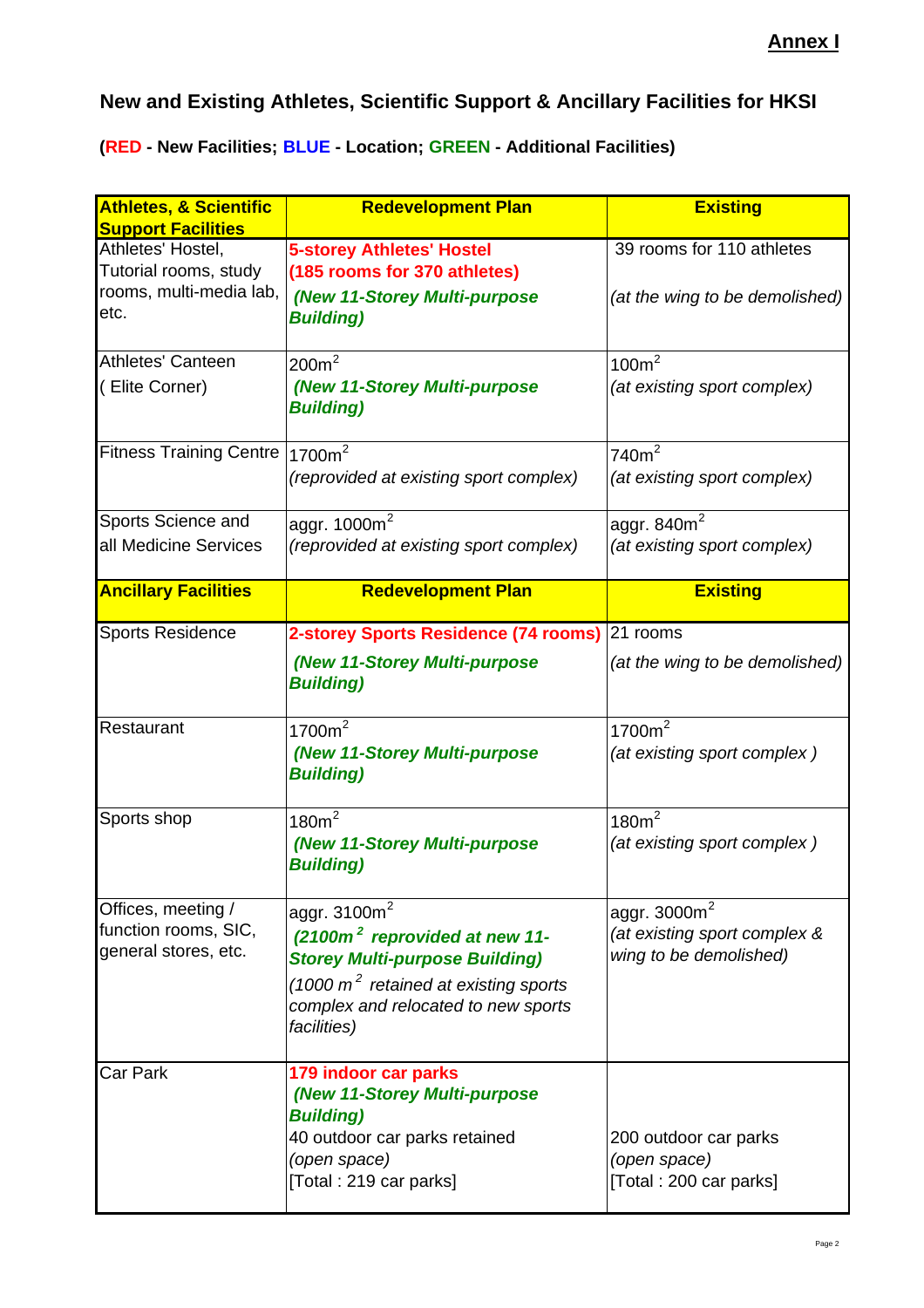# **New and Existing Athletes, Scientific Support & Ancillary Facilities for HKSI**

**(RED - New Facilities; BLUE - Location; GREEN - Additional Facilities)**

| <b>Athletes, &amp; Scientific</b><br><b>Support Facilities</b>                | <b>Redevelopment Plan</b>                                                                                                                                                                             | <b>Existing</b>                                                           |
|-------------------------------------------------------------------------------|-------------------------------------------------------------------------------------------------------------------------------------------------------------------------------------------------------|---------------------------------------------------------------------------|
| Athletes' Hostel,<br>Tutorial rooms, study<br>rooms, multi-media lab,<br>etc. | <b>5-storey Athletes' Hostel</b><br>(185 rooms for 370 athletes)<br>(New 11-Storey Multi-purpose<br><b>Building</b> )                                                                                 | 39 rooms for 110 athletes<br>(at the wing to be demolished)               |
| Athletes' Canteen<br>(Elite Corner)                                           | $200m^2$<br>(New 11-Storey Multi-purpose<br><b>Building)</b>                                                                                                                                          | 100m <sup>2</sup><br>(at existing sport complex)                          |
| Fitness Training Centre 1700m <sup>2</sup>                                    | (reprovided at existing sport complex)                                                                                                                                                                | 740m <sup>2</sup><br>(at existing sport complex)                          |
| Sports Science and<br>all Medicine Services                                   | aggr. 1000m <sup>2</sup><br>(reprovided at existing sport complex)                                                                                                                                    | aggr. $840m2$<br>(at existing sport complex)                              |
| <b>Ancillary Facilities</b>                                                   | <b>Redevelopment Plan</b>                                                                                                                                                                             | <b>Existing</b>                                                           |
| <b>Sports Residence</b>                                                       | 2-storey Sports Residence (74 rooms)<br>(New 11-Storey Multi-purpose<br><b>Building</b> )                                                                                                             | 21 rooms<br>(at the wing to be demolished)                                |
| Restaurant                                                                    | 1700m <sup>2</sup><br>(New 11-Storey Multi-purpose<br><b>Building</b> )                                                                                                                               | 1700m <sup>2</sup><br>(at existing sport complex)                         |
| Sports shop                                                                   | 180m <sup>2</sup><br>(New 11-Storey Multi-purpose<br><b>Building)</b>                                                                                                                                 | 180m <sup>2</sup><br>(at existing sport complex)                          |
| Offices, meeting /<br>function rooms, SIC,<br>general stores, etc.            | aggr. $3100m2$<br>(2100m <sup>2</sup> reprovided at new 11-<br><b>Storey Multi-purpose Building)</b><br>(1000 $m^2$ retained at existing sports<br>complex and relocated to new sports<br>facilities) | aggr. $3000m^2$<br>(at existing sport complex &<br>wing to be demolished) |
| <b>Car Park</b>                                                               | 179 indoor car parks<br>(New 11-Storey Multi-purpose<br><b>Building)</b><br>40 outdoor car parks retained<br>(open space)<br>[Total: 219 car parks]                                                   | 200 outdoor car parks<br>(open space)<br>[Total: 200 car parks]           |